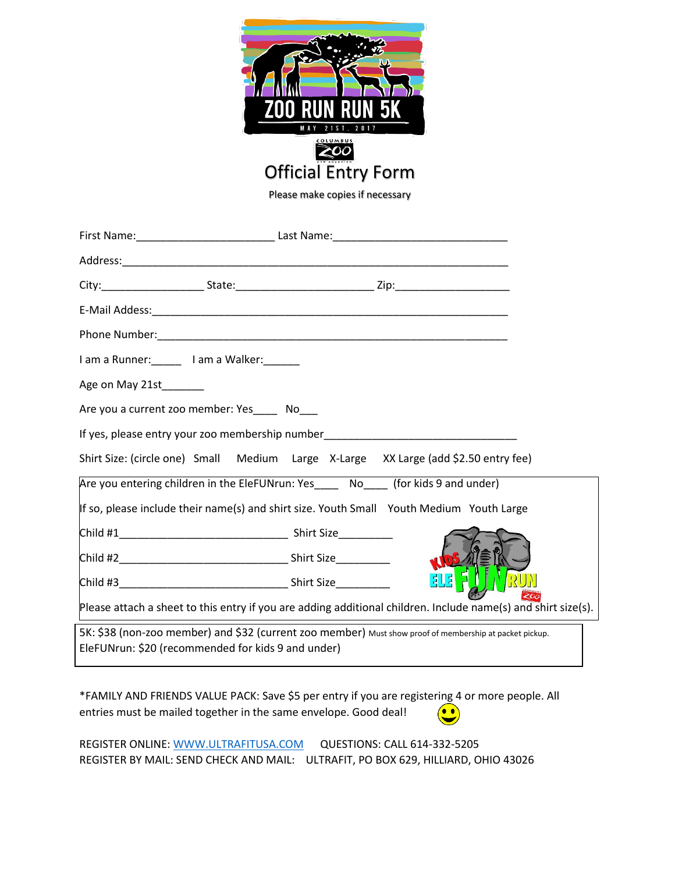

Please make copies if necessary

| I am a Runner: I am a Walker:                                                                                                                                 |  |               |  |
|---------------------------------------------------------------------------------------------------------------------------------------------------------------|--|---------------|--|
| Age on May 21st_______                                                                                                                                        |  |               |  |
| Are you a current zoo member: Yes______ No____                                                                                                                |  |               |  |
| If yes, please entry your zoo membership number_________________________________                                                                              |  |               |  |
| Shirt Size: (circle one) Small Medium Large X-Large XX Large (add \$2.50 entry fee)                                                                           |  |               |  |
| Are you entering children in the EleFUNrun: Yes____ No___ (for kids 9 and under)                                                                              |  |               |  |
| If so, please include their name(s) and shirt size. Youth Small Youth Medium Youth Large                                                                      |  |               |  |
|                                                                                                                                                               |  |               |  |
|                                                                                                                                                               |  | <b>MIDS</b>   |  |
|                                                                                                                                                               |  | <b>BUS</b> FI |  |
| Please attach a sheet to this entry if you are adding additional children. Include name(s) and shirt size(s).                                                 |  |               |  |
| 5K: \$38 (non-zoo member) and \$32 (current zoo member) Must show proof of membership at packet pickup.<br>EleFUNrun: \$20 (recommended for kids 9 and under) |  |               |  |

\*FAMILY AND FRIENDS VALUE PACK: Save \$5 per entry if you are registering 4 or more people. All entries must be mailed together in the same envelope. Good deal! 60

REGISTER ONLINE: [WWW.ULTRAFITUSA.COM](http://www.ultrafitusa.com/) QUESTIONS: CALL 614-332-5205 REGISTER BY MAIL: SEND CHECK AND MAIL: ULTRAFIT, PO BOX 629, HILLIARD, OHIO 43026